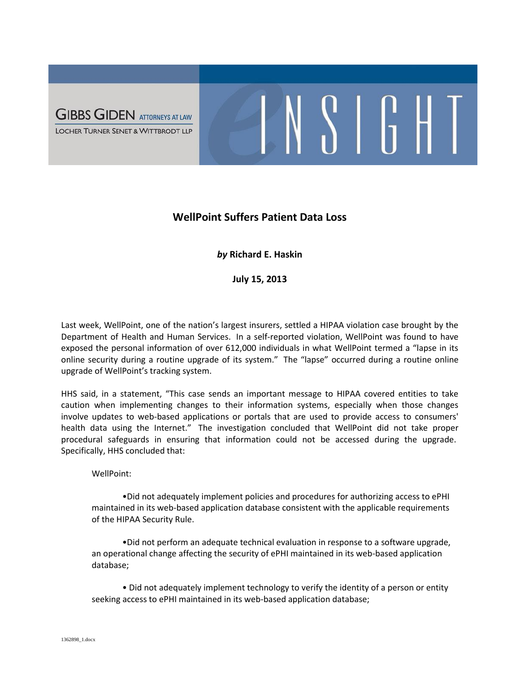

## **WellPoint Suffers Patient Data Loss**

 $\frac{1}{2}$   $\frac{1}{2}$   $\frac{1}{2}$ 

## *by* **Richard E. Haskin**

**July 15, 2013**

Last week, WellPoint, one of the nation's largest insurers, settled a HIPAA violation case brought by the Department of Health and Human Services. In a self-reported violation, WellPoint was found to have exposed the personal information of over 612,000 individuals in what WellPoint termed a "lapse in its online security during a routine upgrade of its system." The "lapse" occurred during a routine online upgrade of WellPoint's tracking system.

HHS said, in a statement, "This case sends an important message to HIPAA covered entities to take caution when implementing changes to their information systems, especially when those changes involve updates to web-based applications or portals that are used to provide access to consumers' health data using the Internet." The investigation concluded that WellPoint did not take proper procedural safeguards in ensuring that information could not be accessed during the upgrade. Specifically, HHS concluded that:

WellPoint:

•Did not adequately implement policies and procedures for authorizing access to ePHI maintained in its web-based application database consistent with the applicable requirements of the HIPAA Security Rule.

•Did not perform an adequate technical evaluation in response to a software upgrade, an operational change affecting the security of ePHI maintained in its web-based application database;

• Did not adequately implement technology to verify the identity of a person or entity seeking access to ePHI maintained in its web-based application database;